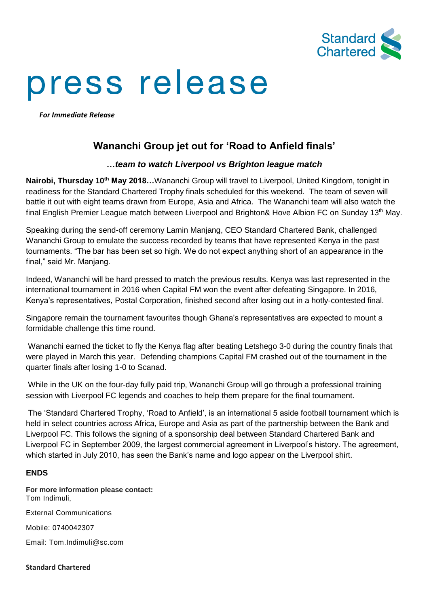

## press release

*For Immediate Release*

## **Wananchi Group jet out for 'Road to Anfield finals'**

## *…team to watch Liverpool vs Brighton league match*

**Nairobi, Thursday 10th May 2018…**Wananchi Group will travel to Liverpool, United Kingdom, tonight in readiness for the Standard Chartered Trophy finals scheduled for this weekend. The team of seven will battle it out with eight teams drawn from Europe, Asia and Africa. The Wananchi team will also watch the final English Premier League match between Liverpool and Brighton& Hove Albion FC on Sunday 13<sup>th</sup> May.

Speaking during the send-off ceremony Lamin Manjang, CEO Standard Chartered Bank, challenged Wananchi Group to emulate the success recorded by teams that have represented Kenya in the past tournaments. "The bar has been set so high. We do not expect anything short of an appearance in the final," said Mr. Manjang.

Indeed, Wananchi will be hard pressed to match the previous results. Kenya was last represented in the international tournament in 2016 when Capital FM won the event after defeating Singapore. In 2016, Kenya's representatives, Postal Corporation, finished second after losing out in a hotly-contested final.

Singapore remain the tournament favourites though Ghana's representatives are expected to mount a formidable challenge this time round.

Wananchi earned the ticket to fly the Kenya flag after beating Letshego 3-0 during the country finals that were played in March this year. Defending champions Capital FM crashed out of the tournament in the quarter finals after losing 1-0 to Scanad.

While in the UK on the four-day fully paid trip, Wananchi Group will go through a professional training session with Liverpool FC legends and coaches to help them prepare for the final tournament.

The 'Standard Chartered Trophy, 'Road to Anfield', is an international 5 aside football tournament which is held in select countries across Africa, Europe and Asia as part of the partnership between the Bank and Liverpool FC. This follows the signing of a sponsorship deal between Standard Chartered Bank and Liverpool FC in September 2009, the largest commercial agreement in Liverpool's history. The agreement, which started in July 2010, has seen the Bank's name and logo appear on the Liverpool shirt.

## **ENDS**

**For more information please contact:** Tom Indimuli,

External Communications

Mobile: 0740042307

Email: Tom.Indimuli@sc.com

**Standard Chartered**